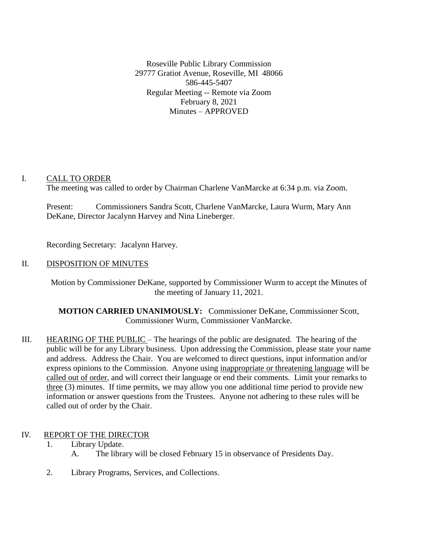Roseville Public Library Commission 29777 Gratiot Avenue, Roseville, MI 48066 586-445-5407 Regular Meeting -- Remote via Zoom February 8, 2021 Minutes – APPROVED

## I. CALL TO ORDER

The meeting was called to order by Chairman Charlene VanMarcke at 6:34 p.m. via Zoom.

Present: Commissioners Sandra Scott, Charlene VanMarcke, Laura Wurm, Mary Ann DeKane, Director Jacalynn Harvey and Nina Lineberger.

Recording Secretary: Jacalynn Harvey.

## II. DISPOSITION OF MINUTES

Motion by Commissioner DeKane, supported by Commissioner Wurm to accept the Minutes of the meeting of January 11, 2021.

**MOTION CARRIED UNANIMOUSLY:** Commissioner DeKane, Commissioner Scott, Commissioner Wurm, Commissioner VanMarcke.

III. HEARING OF THE PUBLIC – The hearings of the public are designated. The hearing of the public will be for any Library business. Upon addressing the Commission, please state your name and address. Address the Chair. You are welcomed to direct questions, input information and/or express opinions to the Commission. Anyone using inappropriate or threatening language will be called out of order, and will correct their language or end their comments. Limit your remarks to three (3) minutes. If time permits, we may allow you one additional time period to provide new information or answer questions from the Trustees. Anyone not adhering to these rules will be called out of order by the Chair.

# IV. REPORT OF THE DIRECTOR

- 1. Library Update.
	- A. The library will be closed February 15 in observance of Presidents Day.
- 2. Library Programs, Services, and Collections.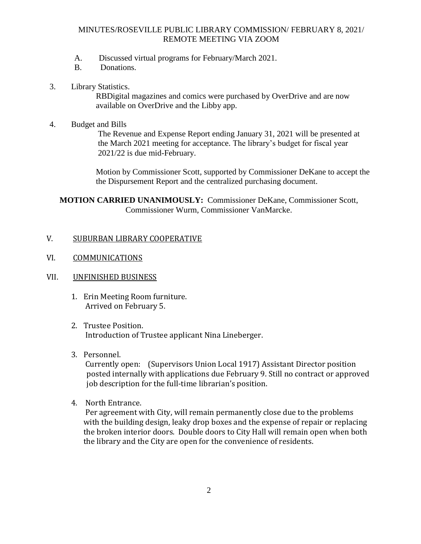### MINUTES/ROSEVILLE PUBLIC LIBRARY COMMISSION/ FEBRUARY 8, 2021/ REMOTE MEETING VIA ZOOM

- A. Discussed virtual programs for February/March 2021.
- B. Donations.
- 3. Library Statistics.

 RBDigital magazines and comics were purchased by OverDrive and are now available on OverDrive and the Libby app.

4. Budget and Bills

 The Revenue and Expense Report ending January 31, 2021 will be presented at the March 2021 meeting for acceptance. The library's budget for fiscal year 2021/22 is due mid-February.

Motion by Commissioner Scott, supported by Commissioner DeKane to accept the the Dispursement Report and the centralized purchasing document.

**MOTION CARRIED UNANIMOUSLY:** Commissioner DeKane, Commissioner Scott, Commissioner Wurm, Commissioner VanMarcke.

#### V. SUBURBAN LIBRARY COOPERATIVE

- VI. COMMUNICATIONS
- VII. UNFINISHED BUSINESS
	- 1. Erin Meeting Room furniture. Arrived on February 5.
	- 2. Trustee Position. Introduction of Trustee applicant Nina Lineberger.
	- 3. Personnel.

Currently open: (Supervisors Union Local 1917) Assistant Director position posted internally with applications due February 9. Still no contract or approved job description for the full-time librarian's position.

4. North Entrance.

Per agreement with City, will remain permanently close due to the problems with the building design, leaky drop boxes and the expense of repair or replacing the broken interior doors. Double doors to City Hall will remain open when both the library and the City are open for the convenience of residents.